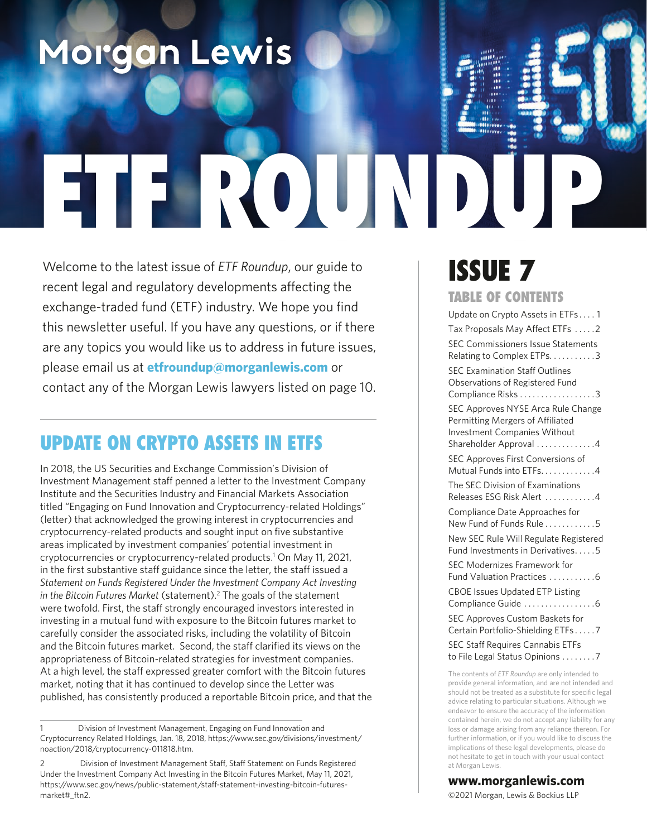# Morgan Lewis

# EROUND

Welcome to the latest issue of *ETF Roundup*, our guide to recent legal and regulatory developments affecting the exchange-traded fund (ETF) industry. We hope you find this newsletter useful. If you have any questions, or if there are any topics you would like us to address in future issues, please email us at **[etfroundup@morganlewis.com](mailto:etfroundup%40morganlewis.com?subject=)** or contact any of the Morgan Lewis lawyers listed on page 10.

# UPDATE ON CRYPTO ASSETS IN ETFS

In 2018, the US Securities and Exchange Commission's Division of Investment Management staff penned a letter to the Investment Company Institute and the Securities Industry and Financial Markets Association titled "Engaging on Fund Innovation and Cryptocurrency-related Holdings" (letter) that acknowledged the growing interest in cryptocurrencies and cryptocurrency-related products and sought input on five substantive areas implicated by investment companies' potential investment in cryptocurrencies or cryptocurrency-related products.1 On May 11, 2021, in the first substantive staff guidance since the letter, the staff issued a *Statement on Funds Registered Under the Investment Company Act Investing*  in the Bitcoin Futures Market (statement).<sup>2</sup> The goals of the statement were twofold. First, the staff strongly encouraged investors interested in investing in a mutual fund with exposure to the Bitcoin futures market to carefully consider the associated risks, including the volatility of Bitcoin and the Bitcoin futures market. Second, the staff clarified its views on the appropriateness of Bitcoin-related strategies for investment companies. At a high level, the staff expressed greater comfort with the Bitcoin futures market, noting that it has continued to develop since the Letter was published, has consistently produced a reportable Bitcoin price, and that the

# ISSUE 7

#### TABLE OF CONTENTS

| Update on Crypto Assets in ETFs1                                                                                                        |
|-----------------------------------------------------------------------------------------------------------------------------------------|
| Tax Proposals May Affect ETFs 2                                                                                                         |
| SEC Commissioners Issue Statements<br>Relating to Complex ETPs. 3                                                                       |
| <b>SEC Examination Staff Outlines</b><br>Observations of Registered Fund<br>Compliance Risks 3                                          |
| SEC Approves NYSE Arca Rule Change<br>Permitting Mergers of Affiliated<br><b>Investment Companies Without</b><br>Shareholder Approval 4 |
| SEC Approves First Conversions of<br>Mutual Funds into ETFs. 4                                                                          |
| The SEC Division of Examinations<br>Releases ESG Risk Alert 4                                                                           |
| Compliance Date Approaches for<br>New Fund of Funds Rule 5                                                                              |
| New SEC Rule Will Regulate Registered<br>Fund Investments in Derivatives5                                                               |
| SEC Modernizes Framework for<br>Fund Valuation Practices 6                                                                              |
| <b>CBOE Issues Updated ETP Listing</b><br>Compliance Guide 6                                                                            |
| SEC Approves Custom Baskets for<br>Certain Portfolio-Shielding ETFs7                                                                    |
| <b>SEC Staff Requires Cannabis ETFs</b><br>to File Legal Status Opinions 7                                                              |
| The contents of ETF Roundup are only intended to<br>provide general information, and are not intended are                               |

provide general information, and are not intended and should not be treated as a substitute for specific legal advice relating to particular situations. Although we endeavor to ensure the accuracy of the information contained herein, we do not accept any liability for any loss or damage arising from any reliance thereon. For further information, or if you would like to discuss the implications of these legal developments, please do not hesitate to get in touch with your usual contact at Morgan Lewis.

#### **www.morganlewis.com**

©2021 Morgan, Lewis & Bockius LLP

Division of Investment Management, Engaging on Fund Innovation and Cryptocurrency Related Holdings, Jan. 18, 2018, https://www.sec.gov/divisions/investment/ noaction/2018/cryptocurrency-011818.htm.

<sup>2</sup> Division of Investment Management Staff, Staff Statement on Funds Registered Under the Investment Company Act Investing in the Bitcoin Futures Market, May 11, 2021, https://www.sec.gov/news/public-statement/staff-statement-investing-bitcoin-futuresmarket#\_ftn2.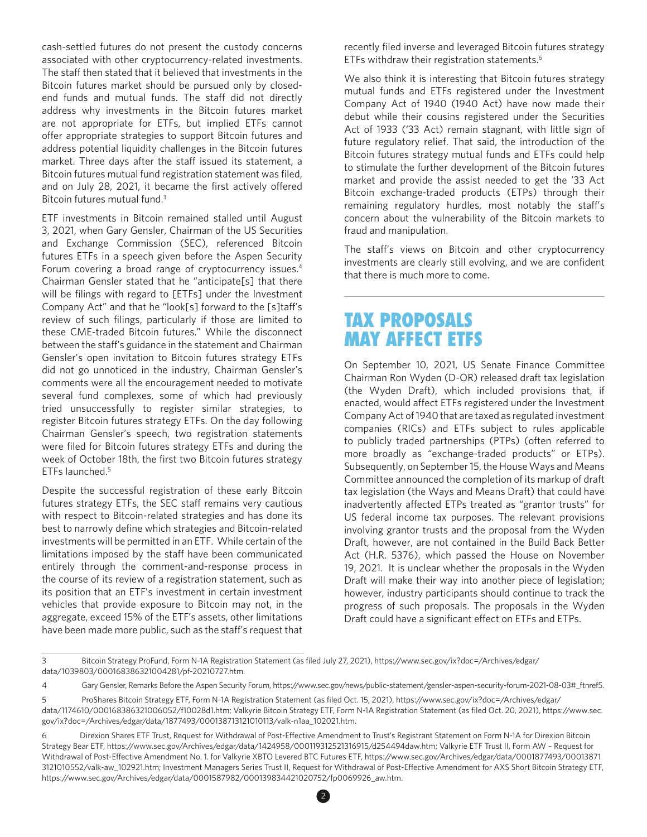cash-settled futures do not present the custody concerns associated with other cryptocurrency-related investments. The staff then stated that it believed that investments in the Bitcoin futures market should be pursued only by closedend funds and mutual funds. The staff did not directly address why investments in the Bitcoin futures market are not appropriate for ETFs, but implied ETFs cannot offer appropriate strategies to support Bitcoin futures and address potential liquidity challenges in the Bitcoin futures market. Three days after the staff issued its statement, a Bitcoin futures mutual fund registration statement was fled, and on July 28, 2021, it became the first actively offered Bitcoin futures mutual fund.<sup>3</sup>

ETF investments in Bitcoin remained stalled until August 3, 2021, when Gary Gensler, Chairman of the US Securities and Exchange Commission (SEC), referenced Bitcoin futures ETFs in a speech given before the Aspen Security Forum covering a broad range of cryptocurrency issues.<sup>4</sup> Chairman Gensler stated that he "anticipate[s] that there will be filings with regard to [ETFs] under the Investment Company Act" and that he "look[s] forward to the [s]taf's review of such flings, particularly if those are limited to these CME-traded Bitcoin futures." While the disconnect between the staf's guidance in the statement and Chairman Gensler's open invitation to Bitcoin futures strategy ETFs did not go unnoticed in the industry, Chairman Gensler's comments were all the encouragement needed to motivate several fund complexes, some of which had previously tried unsuccessfully to register similar strategies, to register Bitcoin futures strategy ETFs. On the day following Chairman Gensler's speech, two registration statements were filed for Bitcoin futures strategy ETFs and during the week of October 18th, the first two Bitcoin futures strategy ETFs launched.5

Despite the successful registration of these early Bitcoin futures strategy ETFs, the SEC staff remains very cautious with respect to Bitcoin-related strategies and has done its best to narrowly defne which strategies and Bitcoin-related investments will be permitted in an ETF. While certain of the limitations imposed by the staff have been communicated entirely through the comment-and-response process in the course of its review of a registration statement, such as its position that an ETF's investment in certain investment vehicles that provide exposure to Bitcoin may not, in the aggregate, exceed 15% of the ETF's assets, other limitations have been made more public, such as the staf's request that

recently fled inverse and leveraged Bitcoin futures strategy ETFs withdraw their registration statements.<sup>6</sup>

We also think it is interesting that Bitcoin futures strategy mutual funds and ETFs registered under the Investment Company Act of 1940 (1940 Act) have now made their debut while their cousins registered under the Securities Act of 1933 ('33 Act) remain stagnant, with little sign of future regulatory relief. That said, the introduction of the Bitcoin futures strategy mutual funds and ETFs could help to stimulate the further development of the Bitcoin futures market and provide the assist needed to get the '33 Act Bitcoin exchange-traded products (ETPs) through their remaining regulatory hurdles, most notably the staf's concern about the vulnerability of the Bitcoin markets to fraud and manipulation.

The staf's views on Bitcoin and other cryptocurrency investments are clearly still evolving, and we are confident that there is much more to come.

# TAX PROPOSALS MAY AFFECT ETFS

On September 10, 2021, US Senate Finance Committee Chairman Ron Wyden (D-OR) released draft tax legislation (the Wyden Draft), which included provisions that, if enacted, would afect ETFs registered under the Investment Company Act of 1940 that are taxed as regulated investment companies (RICs) and ETFs subject to rules applicable to publicly traded partnerships (PTPs) (often referred to more broadly as "exchange-traded products" or ETPs). Subsequently, on September 15, the House Ways and Means Committee announced the completion of its markup of draft tax legislation (the Ways and Means Draft) that could have inadvertently affected ETPs treated as "grantor trusts" for US federal income tax purposes. The relevant provisions involving grantor trusts and the proposal from the Wyden Draft, however, are not contained in the Build Back Better Act (H.R. 5376), which passed the House on November 19, 2021. It is unclear whether the proposals in the Wyden Draft will make their way into another piece of legislation; however, industry participants should continue to track the progress of such proposals. The proposals in the Wyden Draft could have a significant effect on ETFs and ETPs.

<sup>3</sup> Bitcoin Strategy ProFund, Form N-1A Registration Statement (as fled July 27, 2021), https://www.sec.gov/ix?doc=/Archives/edgar/ data/1039803/000168386321004281/pf-20210727.htm.

<sup>4</sup> Gary Gensler, Remarks Before the Aspen Security Forum, https://www.sec.gov/news/public-statement/gensler-aspen-security-forum-2021-08-03#\_ftnref5.

<sup>5</sup> ProShares Bitcoin Strategy ETF, Form N-1A Registration Statement (as fled Oct. 15, 2021), https://www.sec.gov/ix?doc=/Archives/edgar/ data/1174610/000168386321006052/f10028d1.htm; Valkyrie Bitcoin Strategy ETF, Form N-1A Registration Statement (as fled Oct. 20, 2021), https://www.sec. gov/ix?doc=/Archives/edgar/data/1877493/000138713121010113/valk-n1aa\_102021.htm.

<sup>6</sup> Direxion Shares ETF Trust, Request for Withdrawal of Post-Efective Amendment to Trust's Registrant Statement on Form N-1A for Direxion Bitcoin Strategy Bear ETF, https://www.sec.gov/Archives/edgar/data/1424958/000119312521316915/d254494daw.htm; Valkyrie ETF Trust II, Form AW – Request for Withdrawal of Post-Efective Amendment No. 1. for Valkyrie XBTO Levered BTC Futures ETF, https://www.sec.gov/Archives/edgar/data/0001877493/00013871 3121010552/valk-aw\_102921.htm; Investment Managers Series Trust II, Request for Withdrawal of Post-Efective Amendment for AXS Short Bitcoin Strategy ETF, https://www.sec.gov/Archives/edgar/data/0001587982/000139834421020752/fp0069926\_aw.htm.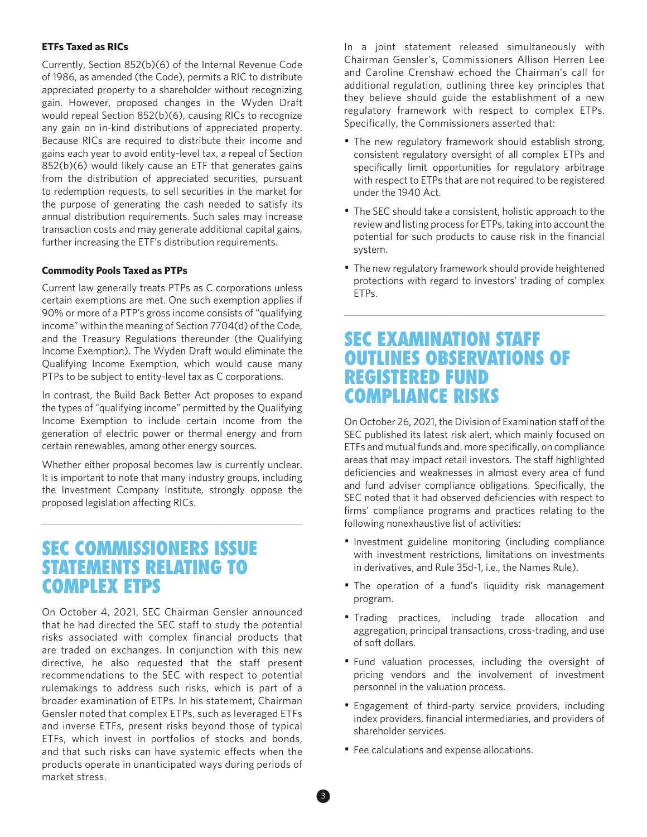#### **ETFs Taxed as RICs**

Currently, Section 852(b)(6) of the Internal Revenue Code of 1986, as amended (the Code), permits a RIC to distribute appreciated property to a shareholder without recognizing gain. However, proposed changes in the Wyden Draft would repeal Section 852(b)(6), causing RICs to recognize any gain on in-kind distributions of appreciated property. Because RICs are required to distribute their income and gains each year to avoid entity-level tax, a repeal of Section 852(b)(6) would likely cause an ETF that generates gains from the distribution of appreciated securities, pursuant to redemption requests, to sell securities in the market for the purpose of generating the cash needed to satisfy its annual distribution requirements. Such sales may increase transaction costs and may generate additional capital gains, further increasing the ETF's distribution requirements.

#### **Commodity Pools Taxed as PTPs**

Current law generally treats PTPs as C corporations unless certain exemptions are met. One such exemption applies if 90% or more of a PTP's gross income consists of "qualifying income" within the meaning of Section 7704(d) of the Code, and the Treasury Regulations thereunder (the Qualifying Income Exemption). The Wyden Draft would eliminate the Qualifying Income Exemption, which would cause many PTPs to be subject to entity-level tax as C corporations.

In contrast, the Build Back Better Act proposes to expand the types of "qualifying income" permitted by the Qualifying Income Exemption to include certain income from the generation of electric power or thermal energy and from certain renewables, among other energy sources.

Whether either proposal becomes law is currently unclear. It is important to note that many industry groups, including the Investment Company Institute, strongly oppose the proposed legislation afecting RICs.

# SEC COMMISSIONERS ISSUE STATEMENTS RELATING TO COMPLEX ETPS

On October 4, 2021, SEC Chairman Gensler announced that he had directed the SEC staff to study the potential risks associated with complex financial products that are traded on exchanges. In conjunction with this new directive, he also requested that the staff present recommendations to the SEC with respect to potential rulemakings to address such risks, which is part of a broader examination of ETPs. In his statement, Chairman Gensler noted that complex ETPs, such as leveraged ETFs and inverse ETFs, present risks beyond those of typical ETFs, which invest in portfolios of stocks and bonds, and that such risks can have systemic effects when the products operate in unanticipated ways during periods of market stress.

In a joint statement released simultaneously with Chairman Gensler's, Commissioners Allison Herren Lee and Caroline Crenshaw echoed the Chairman's call for additional regulation, outlining three key principles that they believe should guide the establishment of a new regulatory framework with respect to complex ETPs. Specifically, the Commissioners asserted that:

- The new regulatory framework should establish strong, consistent regulatory oversight of all complex ETPs and specifically limit opportunities for regulatory arbitrage with respect to ETPs that are not required to be registered under the 1940 Act.
- The SEC should take a consistent, holistic approach to the review and listing process for ETPs, taking into account the potential for such products to cause risk in the fnancial system.
- The new regulatory framework should provide heightened protections with regard to investors' trading of complex ETPs.

# SEC EXAMINATION STAFF OUTLINES OBSERVATIONS OF REGISTERED FUND COMPLIANCE RISKS

On October 26, 2021, the Division of Examination staff of the SEC published its latest risk alert, which mainly focused on ETFs and mutual funds and, more specifcally, on compliance areas that may impact retail investors. The staff highlighted deficiencies and weaknesses in almost every area of fund and fund adviser compliance obligations. Specifically, the SEC noted that it had observed deficiencies with respect to firms' compliance programs and practices relating to the following nonexhaustive list of activities:

- Investment guideline monitoring (including compliance with investment restrictions, limitations on investments in derivatives, and Rule 35d-1, i.e., the Names Rule).
- The operation of a fund's liquidity risk management program.
- Trading practices, including trade allocation and aggregation, principal transactions, cross-trading, and use of soft dollars.
- Fund valuation processes, including the oversight of pricing vendors and the involvement of investment personnel in the valuation process.
- Engagement of third-party service providers, including index providers, fnancial intermediaries, and providers of shareholder services.
- Fee calculations and expense allocations.

3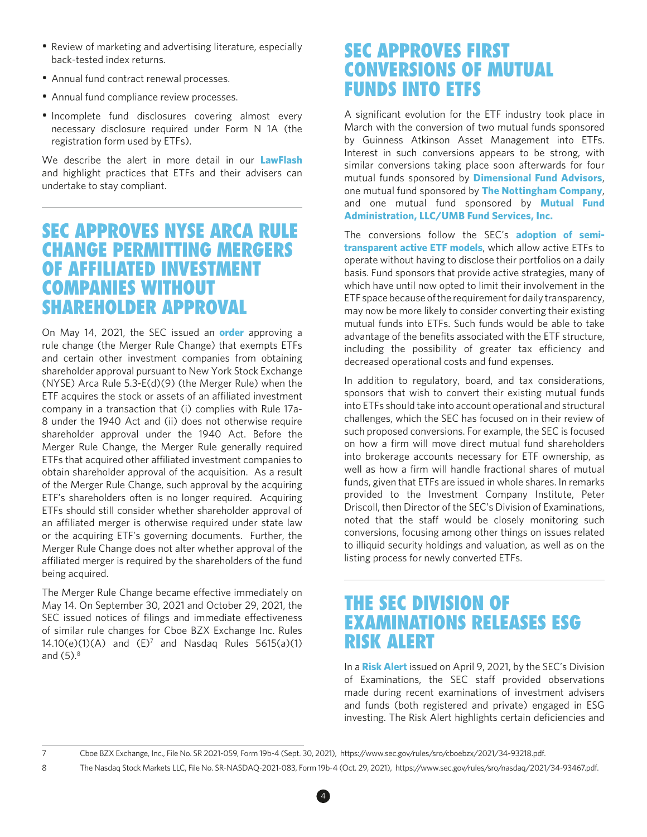- Review of marketing and advertising literature, especially back-tested index returns.
- Annual fund contract renewal processes.
- Annual fund compliance review processes.
- Incomplete fund disclosures covering almost every necessary disclosure required under Form N 1A (the registration form used by ETFs).

We describe the alert in more detail in our **[LawFlash](https://www.morganlewis.com/pubs/2021/10/sec-examination-staff-outlines-observations-of-registered-fund-compliance-risks)** and highlight practices that ETFs and their advisers can undertake to stay compliant.

# SEC APPROVES NYSE ARCA RULE CHANGE PERMITTING MERGERS OF AFFILIATED INVESTMENT COMPANIES WITHOUT SHAREHOLDER APPROVAL

On May 14, 2021, the SEC issued an **[order](https://www.sec.gov/rules/sro/nysearca/2021/34-91901.pdf)** approving a rule change (the Merger Rule Change) that exempts ETFs and certain other investment companies from obtaining shareholder approval pursuant to New York Stock Exchange (NYSE) Arca Rule 5.3-E(d)(9) (the Merger Rule) when the ETF acquires the stock or assets of an affiliated investment company in a transaction that (i) complies with Rule 17a-8 under the 1940 Act and (ii) does not otherwise require shareholder approval under the 1940 Act. Before the Merger Rule Change, the Merger Rule generally required ETFs that acquired other affiliated investment companies to obtain shareholder approval of the acquisition. As a result of the Merger Rule Change, such approval by the acquiring ETF's shareholders often is no longer required. Acquiring ETFs should still consider whether shareholder approval of an affiliated merger is otherwise required under state law or the acquiring ETF's governing documents. Further, the Merger Rule Change does not alter whether approval of the affiliated merger is required by the shareholders of the fund being acquired.

The Merger Rule Change became efective immediately on May 14. On September 30, 2021 and October 29, 2021, the SEC issued notices of filings and immediate effectiveness of similar rule changes for Cboe BZX Exchange Inc. Rules 14.10(e)(1)(A) and  $(E)^7$  and Nasdaq Rules 5615(a)(1) and  $(5)$ . $8$ 

# SEC APPROVES FIRST CONVERSIONS OF MUTUAL FUNDS INTO ETFS

A signifcant evolution for the ETF industry took place in March with the conversion of two mutual funds sponsored by Guinness Atkinson Asset Management into ETFs. Interest in such conversions appears to be strong, with similar conversions taking place soon afterwards for four mutual funds sponsored by **[Dimensional Fund Advisors](https://www.sec.gov/Archives/edgar/data/1816125/000179420221000103/dimensionaletf497.htm)**, one mutual fund sponsored by **[The Nottingham Company](https://www.sec.gov/Archives/edgar/data/1464413/000146441321000054/n14a0321.htm)**, and one mutual fund sponsored by **[Mutual Fund](https://www.sec.gov/Archives/edgar/data/1587982/000139834421015559/fp0067667_497.htm) [Administration, LLC/UMB Fund Services, Inc.](https://www.sec.gov/Archives/edgar/data/1587982/000139834421015559/fp0067667_497.htm)**

The conversions follow the SEC's **[adoption of semi](https://www.morganlewis.com/~/media/files/document/2020/201112-etf-roundup-newsletter-issue6-fin.ashx)[transparent active ETF models](https://www.morganlewis.com/~/media/files/document/2020/201112-etf-roundup-newsletter-issue6-fin.ashx)**, which allow active ETFs to operate without having to disclose their portfolios on a daily basis. Fund sponsors that provide active strategies, many of which have until now opted to limit their involvement in the ETF space because of the requirement for daily transparency, may now be more likely to consider converting their existing mutual funds into ETFs. Such funds would be able to take advantage of the benefits associated with the ETF structure, including the possibility of greater tax efficiency and decreased operational costs and fund expenses.

In addition to regulatory, board, and tax considerations, sponsors that wish to convert their existing mutual funds into ETFs should take into account operational and structural challenges, which the SEC has focused on in their review of such proposed conversions. For example, the SEC is focused on how a frm will move direct mutual fund shareholders into brokerage accounts necessary for ETF ownership, as well as how a frm will handle fractional shares of mutual funds, given that ETFs are issued in whole shares. In remarks provided to the Investment Company Institute, Peter Driscoll, then Director of the SEC's Division of Examinations, noted that the staff would be closely monitoring such conversions, focusing among other things on issues related to illiquid security holdings and valuation, as well as on the listing process for newly converted ETFs.

# THE SEC DIVISION OF EXAMINATIONS RELEASES ESG RISK ALERT

In a **[Risk Alert](https://www.sec.gov/files/esg-risk-alert.pdf)** issued on April 9, 2021, by the SEC's Division of Examinations, the SEC staff provided observations made during recent examinations of investment advisers and funds (both registered and private) engaged in ESG investing. The Risk Alert highlights certain deficiencies and

4

<sup>7</sup> Cboe BZX Exchange, Inc., File No. SR 2021-059, Form 19b-4 (Sept. 30, 2021), https://www.sec.gov/rules/sro/cboebzx/2021/34-93218.pdf.

<sup>8</sup> The Nasdaq Stock Markets LLC, File No. SR-NASDAQ-2021-083, Form 19b-4 (Oct. 29, 2021), https://www.sec.gov/rules/sro/nasdaq/2021/34-93467.pdf.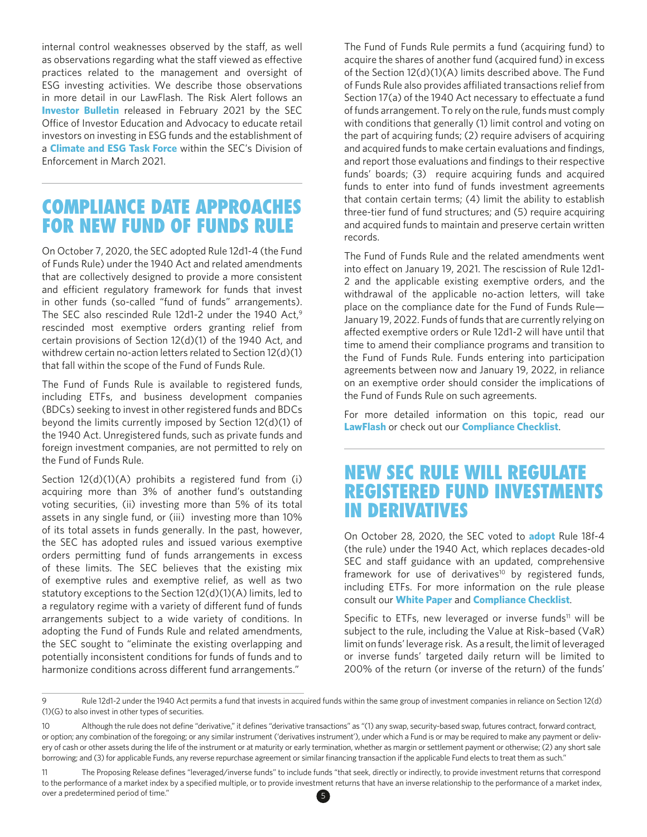internal control weaknesses observed by the staff, as well as observations regarding what the staff viewed as effective practices related to the management and oversight of ESG investing activities. We describe those observations in more detail in our [LawFlash.](https://www.morganlewis.com/pubs/2021/04/the-sec-staff-takes-on-esg-investing) The Risk Alert follows an **[Investor Bulletin](https://www.investor.gov/introduction-investing/general-resources/news-alerts/alerts-bulletins/investor-bulletins-1)** released in February 2021 by the SEC Office of Investor Education and Advocacy to educate retail investors on investing in ESG funds and the establishment of a **[Climate and ESG Task Force](https://www.sec.gov/news/press-release/2021-42)** within the SEC's Division of Enforcement in March 2021.

# COMPLIANCE DATE APPROACHES FOR NEW FUND OF FUNDS RULE

On October 7, 2020, the SEC adopted Rule 12d1-4 (the Fund of Funds Rule) under the 1940 Act and related amendments that are collectively designed to provide a more consistent and efficient regulatory framework for funds that invest in other funds (so-called "fund of funds" arrangements). The SEC also rescinded Rule 12d1-2 under the 1940 Act, $9$ rescinded most exemptive orders granting relief from certain provisions of Section 12(d)(1) of the 1940 Act, and withdrew certain no-action letters related to Section 12(d)(1) that fall within the scope of the Fund of Funds Rule.

The Fund of Funds Rule is available to registered funds, including ETFs, and business development companies (BDCs) seeking to invest in other registered funds and BDCs beyond the limits currently imposed by Section 12(d)(1) of the 1940 Act. Unregistered funds, such as private funds and foreign investment companies, are not permitted to rely on the Fund of Funds Rule.

Section 12(d)(1)(A) prohibits a registered fund from (i) acquiring more than 3% of another fund's outstanding voting securities, (ii) investing more than 5% of its total assets in any single fund, or (iii) investing more than 10% of its total assets in funds generally. In the past, however, the SEC has adopted rules and issued various exemptive orders permitting fund of funds arrangements in excess of these limits. The SEC believes that the existing mix of exemptive rules and exemptive relief, as well as two statutory exceptions to the Section 12(d)(1)(A) limits, led to a regulatory regime with a variety of diferent fund of funds arrangements subject to a wide variety of conditions. In adopting the Fund of Funds Rule and related amendments, the SEC sought to "eliminate the existing overlapping and potentially inconsistent conditions for funds of funds and to harmonize conditions across diferent fund arrangements."

The Fund of Funds Rule permits a fund (acquiring fund) to acquire the shares of another fund (acquired fund) in excess of the Section 12(d)(1)(A) limits described above. The Fund of Funds Rule also provides afliated transactions relief from Section 17(a) of the 1940 Act necessary to effectuate a fund of funds arrangement. To rely on the rule, funds must comply with conditions that generally (1) limit control and voting on the part of acquiring funds; (2) require advisers of acquiring and acquired funds to make certain evaluations and findings, and report those evaluations and findings to their respective funds' boards; (3) require acquiring funds and acquired funds to enter into fund of funds investment agreements that contain certain terms; (4) limit the ability to establish three-tier fund of fund structures; and (5) require acquiring and acquired funds to maintain and preserve certain written records.

The Fund of Funds Rule and the related amendments went into effect on January 19, 2021. The rescission of Rule 12d1-2 and the applicable existing exemptive orders, and the withdrawal of the applicable no-action letters, will take place on the compliance date for the Fund of Funds Rule— January 19, 2022. Funds of funds that are currently relying on afected exemptive orders or Rule 12d1-2 will have until that time to amend their compliance programs and transition to the Fund of Funds Rule. Funds entering into participation agreements between now and January 19, 2022, in reliance on an exemptive order should consider the implications of the Fund of Funds Rule on such agreements.

For more detailed information on this topic, read our **[LawFlash](https://www.morganlewis.com/pubs/2020/10/sec-adopts-comprehensive-framework-for-fund-of-funds-arrangements)** or check out our **[Compliance Checklist](https://www.morganlewis.com/-/media/files/publication/report/1940-act-regulatory-checklists.pdf#page=2)**.

# NEW SEC RULE WILL REGULATE REGISTERED FUND INVESTMENTS IN DERIVATIVES

On October 28, 2020, the SEC voted to **[adopt](https://www.sec.gov/rules/final/2020/ic-34084.pdf)** Rule 18f-4 (the rule) under the 1940 Act, which replaces decades-old SEC and staff guidance with an updated, comprehensive framework for use of derivatives<sup>10</sup> by registered funds, including ETFs. For more information on the rule please consult our **[White Paper](https://www.morganlewis.com/-/media/files/publication/morgan-lewis-title/white-paper/2020/white-paper-new-sec-rule-will-regulate-registered-fund-investments-in-derivatives.pdf)** and **[Compliance Checklist](https://www.morganlewis.com/-/media/files/publication/report/1940-act-regulatory-checklists.pdf#page=5)**.

Specific to ETFs, new leveraged or inverse funds<sup>11</sup> will be subject to the rule, including the Value at Risk–based (VaR) limit on funds' leverage risk. As a result, the limit of leveraged or inverse funds' targeted daily return will be limited to 200% of the return (or inverse of the return) of the funds'

<sup>9</sup> Rule 12d1-2 under the 1940 Act permits a fund that invests in acquired funds within the same group of investment companies in reliance on Section 12(d) (1)(G) to also invest in other types of securities.

<sup>10</sup> Although the rule does not defne "derivative," it defnes "derivative transactions" as "(1) any swap, security-based swap, futures contract, forward contract, or option; any combination of the foregoing; or any similar instrument ('derivatives instrument'), under which a Fund is or may be required to make any payment or delivery of cash or other assets during the life of the instrument or at maturity or early termination, whether as margin or settlement payment or otherwise; (2) any short sale borrowing; and (3) for applicable Funds, any reverse repurchase agreement or similar financing transaction if the applicable Fund elects to treat them as such."

<sup>11</sup> The Proposing Release defnes "leveraged/inverse funds" to include funds "that seek, directly or indirectly, to provide investment returns that correspond to the performance of a market index by a specified multiple, or to provide investment returns that have an inverse relationship to the performance of a market index, over a predetermined period of time." 5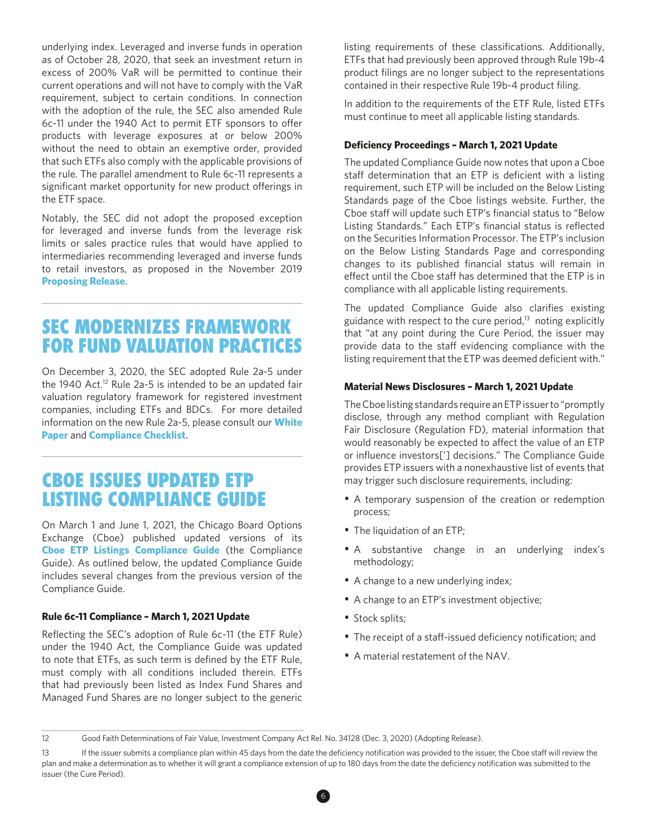underlying index. Leveraged and inverse funds in operation as of October 28, 2020, that seek an investment return in excess of 200% VaR will be permitted to continue their current operations and will not have to comply with the VaR requirement, subject to certain conditions. In connection with the adoption of the rule, the SEC also amended Rule 6c-11 under the 1940 Act to permit ETF sponsors to ofer products with leverage exposures at or below 200% without the need to obtain an exemptive order, provided that such ETFs also comply with the applicable provisions of the rule. The parallel amendment to Rule 6c-11 represents a significant market opportunity for new product offerings in the ETF space.

Notably, the SEC did not adopt the proposed exception for leveraged and inverse funds from the leverage risk limits or sales practice rules that would have applied to intermediaries recommending leveraged and inverse funds to retail investors, as proposed in the November 2019 **[Proposing Release](https://www.sec.gov/rules/proposed/2019/34-87607.pdf)**.

# SEC MODERNIZES FRAMEWORK FOR FUND VALUATION PRACTICES

On December 3, 2020, the SEC adopted Rule 2a-5 under the 1940 Act.<sup>12</sup> Rule 2a-5 is intended to be an updated fair valuation regulatory framework for registered investment companies, including ETFs and BDCs. For more detailed information on the new Rule 2a-5, please consult our **[White](https://www.morganlewis.com/-/media/files/publication/morgan-lewis-title/white-paper/2020/white-paper-sec-modernizes-framework-for-fund-valuation-practices.pdf) [Paper](https://www.morganlewis.com/-/media/files/publication/morgan-lewis-title/white-paper/2020/white-paper-sec-modernizes-framework-for-fund-valuation-practices.pdf)** and **[Compliance Checklist](https://www.morganlewis.com/-/media/files/publication/report/1940-act-regulatory-checklists.pdf#page=8)**.

# CBOE ISSUES UPDATED ETP LISTING COMPLIANCE GUIDE

On March 1 and June 1, 2021, the Chicago Board Options Exchange (Cboe) published updated versions of its **[Cboe ETP Listings Compliance Guide](https://cdn.cboe.com/resources/listings/Cboe_BZX_Exchange_ETP_Listings_Compliance_Guide.pdf)** (the Compliance Guide). As outlined below, the updated Compliance Guide includes several changes from the previous version of the Compliance Guide.

#### **Rule 6c-11 Compliance – March 1, 2021 Update**

Refecting the SEC's adoption of Rule 6c-11 (the ETF Rule) under the 1940 Act, the Compliance Guide was updated to note that ETFs, as such term is defned by the ETF Rule, must comply with all conditions included therein. ETFs that had previously been listed as Index Fund Shares and Managed Fund Shares are no longer subject to the generic listing requirements of these classifications. Additionally, ETFs that had previously been approved through Rule 19b-4 product flings are no longer subject to the representations contained in their respective Rule 19b-4 product fling.

In addition to the requirements of the ETF Rule, listed ETFs must continue to meet all applicable listing standards.

#### **Deficiency Proceedings - March 1, 2021 Update**

The updated Compliance Guide now notes that upon a Cboe staff determination that an ETP is deficient with a listing requirement, such ETP will be included on the Below Listing Standards page of the Cboe listings website. Further, the Cboe staff will update such ETP's financial status to "Below Listing Standards." Each ETP's financial status is reflected on the Securities Information Processor. The ETP's inclusion on the Below Listing Standards Page and corresponding changes to its published fnancial status will remain in effect until the Cboe staff has determined that the ETP is in compliance with all applicable listing requirements.

The updated Compliance Guide also clarifies existing guidance with respect to the cure period, $13$  noting explicitly that "at any point during the Cure Period, the issuer may provide data to the staff evidencing compliance with the listing requirement that the ETP was deemed deficient with."

#### **Material News Disclosures – March 1, 2021 Update**

The Cboe listing standards require an ETP issuer to "promptly disclose, through any method compliant with Regulation Fair Disclosure (Regulation FD), material information that would reasonably be expected to affect the value of an ETP or infuence investors['] decisions." The Compliance Guide provides ETP issuers with a nonexhaustive list of events that may trigger such disclosure requirements, including:

- A temporary suspension of the creation or redemption process;
- The liquidation of an ETP;
- A substantive change in an underlying index's methodology;
- A change to a new underlying index;
- A change to an ETP's investment objective;
- Stock splits;
- The receipt of a staff-issued deficiency notification; and
- A material restatement of the NAV.

<sup>12</sup> Good Faith Determinations of Fair Value, Investment Company Act Rel. No. 34128 (Dec. 3, 2020) (Adopting Release).

<sup>13</sup> If the issuer submits a compliance plan within 45 days from the date the defciency notifcation was provided to the issuer, the Cboe staf will review the plan and make a determination as to whether it will grant a compliance extension of up to 180 days from the date the deficiency notification was submitted to the issuer (the Cure Period).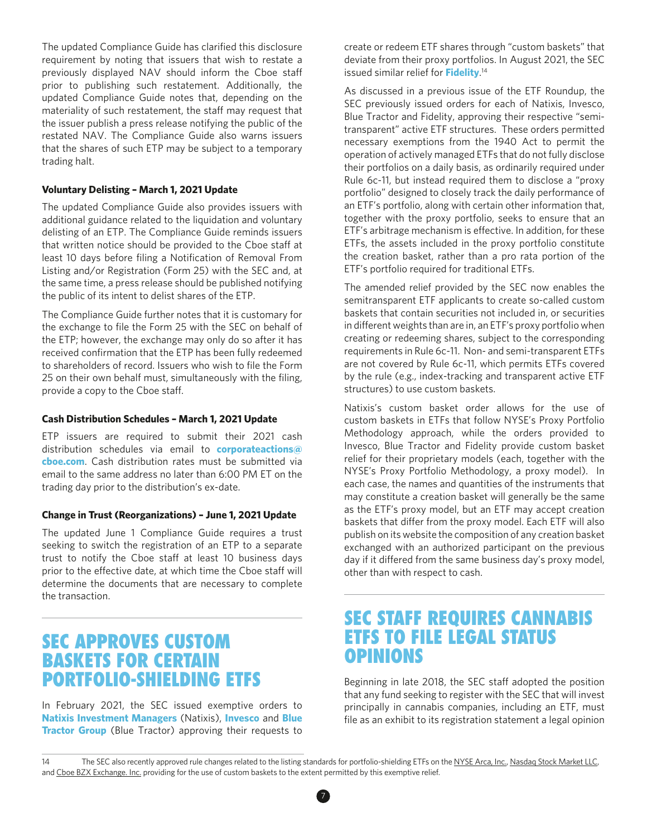The updated Compliance Guide has clarifed this disclosure requirement by noting that issuers that wish to restate a previously displayed NAV should inform the Cboe staf prior to publishing such restatement. Additionally, the updated Compliance Guide notes that, depending on the materiality of such restatement, the staff may request that the issuer publish a press release notifying the public of the restated NAV. The Compliance Guide also warns issuers that the shares of such ETP may be subject to a temporary trading halt.

#### **Voluntary Delisting – March 1, 2021 Update**

The updated Compliance Guide also provides issuers with additional guidance related to the liquidation and voluntary delisting of an ETP. The Compliance Guide reminds issuers that written notice should be provided to the Cboe staff at least 10 days before filing a Notification of Removal From Listing and/or Registration (Form 25) with the SEC and, at the same time, a press release should be published notifying the public of its intent to delist shares of the ETP.

The Compliance Guide further notes that it is customary for the exchange to file the Form 25 with the SEC on behalf of the ETP; however, the exchange may only do so after it has received confrmation that the ETP has been fully redeemed to shareholders of record. Issuers who wish to file the Form 25 on their own behalf must, simultaneously with the filing, provide a copy to the Cboe staf.

#### **Cash Distribution Schedules – March 1, 2021 Update**

ETP issuers are required to submit their 2021 cash distribution schedules via email to **[corporateactions@](mailto:corporateactions%40cboe.com?subject=) [cboe.com](mailto:corporateactions%40cboe.com?subject=)**. Cash distribution rates must be submitted via email to the same address no later than 6:00 PM ET on the trading day prior to the distribution's ex-date.

#### **Change in Trust (Reorganizations) – June 1, 2021 Update**

The updated June 1 Compliance Guide requires a trust seeking to switch the registration of an ETP to a separate trust to notify the Cboe staff at least 10 business days prior to the effective date, at which time the Cboe staff will determine the documents that are necessary to complete the transaction.

### SEC APPROVES CUSTOM BASKETS FOR CERTAIN PORTFOLIO-SHIELDING ETFS

In February 2021, the SEC issued exemptive orders to **[Natixis Investment Managers](https://www.sec.gov/rules/ic/2021/ic-34192.pdf)** (Natixis), **[Invesco](https://www.sec.gov/rules/ic/2021/ic-34193.pdf)** and **[Blue](https://www.sec.gov/rules/ic/2021/ic-34221.pdf) [Tractor Group](https://www.sec.gov/rules/ic/2021/ic-34221.pdf)** (Blue Tractor) approving their requests to

create or redeem ETF shares through "custom baskets" that deviate from their proxy portfolios. In August 2021, the SEC issued similar relief for **[Fidelity](https://www.sec.gov/rules/ic/2021/ic-34350.pdf)**. 14

As discussed in a previous issue of the ETF Roundup, the SEC previously issued orders for each of Natixis, Invesco, Blue Tractor and Fidelity, approving their respective "semitransparent" active ETF structures. These orders permitted necessary exemptions from the 1940 Act to permit the operation of actively managed ETFs that do not fully disclose their portfolios on a daily basis, as ordinarily required under Rule 6c-11, but instead required them to disclose a "proxy portfolio" designed to closely track the daily performance of an ETF's portfolio, along with certain other information that, together with the proxy portfolio, seeks to ensure that an ETF's arbitrage mechanism is efective. In addition, for these ETFs, the assets included in the proxy portfolio constitute the creation basket, rather than a pro rata portion of the ETF's portfolio required for traditional ETFs.

The amended relief provided by the SEC now enables the semitransparent ETF applicants to create so-called custom baskets that contain securities not included in, or securities in diferent weights than are in, an ETF's proxy portfolio when creating or redeeming shares, subject to the corresponding requirements in Rule 6c-11. Non- and semi-transparent ETFs are not covered by Rule 6c-11, which permits ETFs covered by the rule (e.g., index-tracking and transparent active ETF structures) to use custom baskets.

Natixis's custom basket order allows for the use of custom baskets in ETFs that follow NYSE's Proxy Portfolio Methodology approach, while the orders provided to Invesco, Blue Tractor and Fidelity provide custom basket relief for their proprietary models (each, together with the NYSE's Proxy Portfolio Methodology, a proxy model). In each case, the names and quantities of the instruments that may constitute a creation basket will generally be the same as the ETF's proxy model, but an ETF may accept creation baskets that difer from the proxy model. Each ETF will also publish on its website the composition of any creation basket exchanged with an authorized participant on the previous day if it difered from the same business day's proxy model, other than with respect to cash.

# SEC STAFF REQUIRES CANNABIS ETFS TO FILE LEGAL STATUS OPINIONS

Beginning in late 2018, the SEC staff adopted the position that any fund seeking to register with the SEC that will invest principally in cannabis companies, including an ETF, must file as an exhibit to its registration statement a legal opinion

<sup>14</sup> The SEC also recently approved rule changes related to the listing standards for portfolio-shielding ETFs on the [NYSE Arca, Inc.,](https://www.sec.gov/rules/sro/nysearca/2021/34-93120.pdf) [Nasdaq Stock Market LLC,](https://www.sec.gov/rules/sro/nasdaq/2021/34-93277.pdf) and [Cboe BZX Exchange. Inc.](https://www.sec.gov/rules/sro/cboebzx/2021/34-93147.pdf) providing for the use of custom baskets to the extent permitted by this exemptive relief.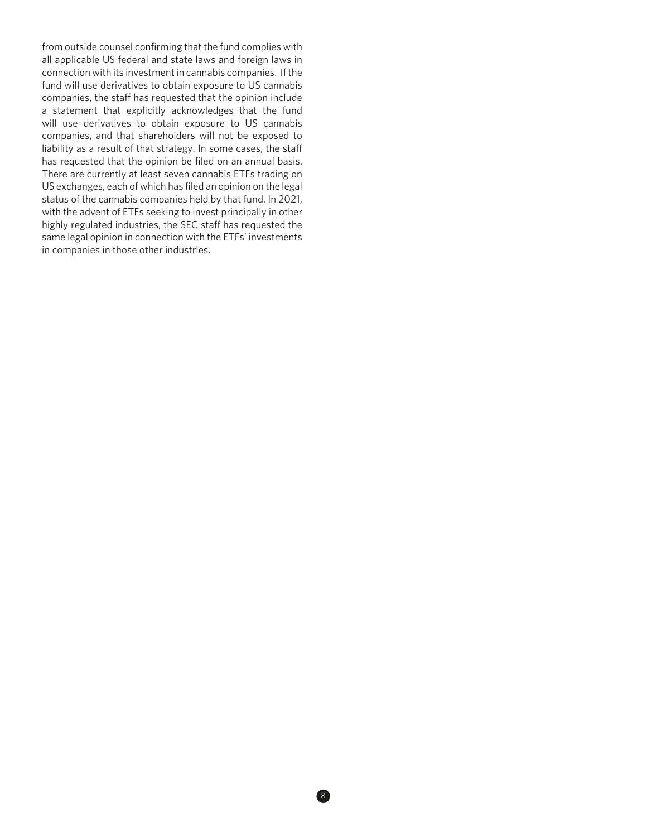from outside counsel confrming that the fund complies with all applicable US federal and state laws and foreign laws in connection with its investment in cannabis companies. If the fund will use derivatives to obtain exposure to US cannabis companies, the staff has requested that the opinion include a statement that explicitly acknowledges that the fund will use derivatives to obtain exposure to US cannabis companies, and that shareholders will not be exposed to liability as a result of that strategy. In some cases, the staf has requested that the opinion be filed on an annual basis. There are currently at least seven cannabis ETFs trading on US exchanges, each of which has fled an opinion on the legal status of the cannabis companies held by that fund. In 2021, with the advent of ETFs seeking to invest principally in other highly regulated industries, the SEC staff has requested the same legal opinion in connection with the ETFs' investments in companies in those other industries.